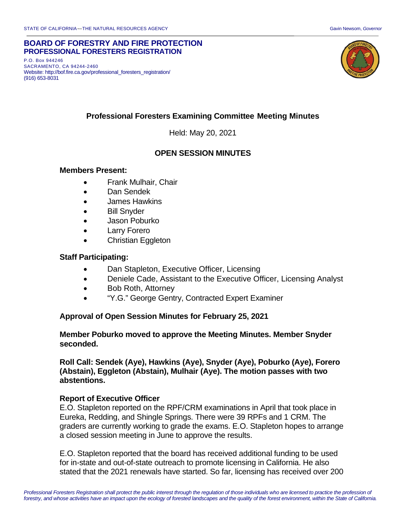#### **BOARD OF FORESTRY AND FIRE PROTECTION PROFESSIONAL FORESTERS REGISTRATION**

P.O. Box 944246 SACRAMENTO, CA 94244-2460 Website: http://bof.fire.ca.gov/professional\_foresters\_registration/ (916) 653-8031



# **Professional Foresters Examining Committee Meeting Minutes**

Held: May 20, 2021

# **OPEN SESSION MINUTES**

#### **Members Present:**

- Frank Mulhair, Chair
- Dan Sendek
- James Hawkins
- Bill Snyder
- Jason Poburko
- Larry Forero
- Christian Eggleton

#### **Staff Participating:**

- Dan Stapleton, Executive Officer, Licensing
- Deniele Cade, Assistant to the Executive Officer, Licensing Analyst
- Bob Roth, Attorney
- "Y.G." George Gentry, Contracted Expert Examiner

#### **Approval of Open Session Minutes for February 25, 2021**

#### **Member Poburko moved to approve the Meeting Minutes. Member Snyder seconded.**

#### **Roll Call: Sendek (Aye), Hawkins (Aye), Snyder (Aye), Poburko (Aye), Forero (Abstain), Eggleton (Abstain), Mulhair (Aye). The motion passes with two abstentions.**

## **Report of Executive Officer**

E.O. Stapleton reported on the RPF/CRM examinations in April that took place in Eureka, Redding, and Shingle Springs. There were 39 RPFs and 1 CRM. The graders are currently working to grade the exams. E.O. Stapleton hopes to arrange a closed session meeting in June to approve the results.

E.O. Stapleton reported that the board has received additional funding to be used for in-state and out-of-state outreach to promote licensing in California. He also stated that the 2021 renewals have started. So far, licensing has received over 200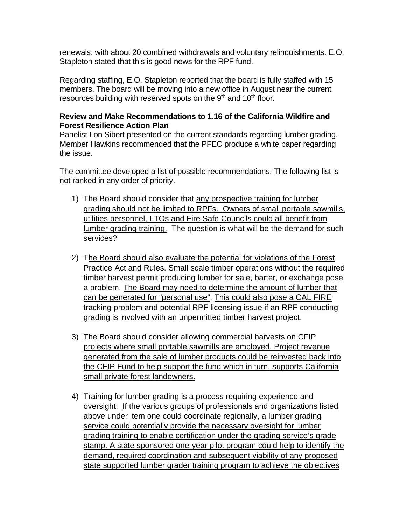renewals, with about 20 combined withdrawals and voluntary relinquishments. E.O. Stapleton stated that this is good news for the RPF fund.

Regarding staffing, E.O. Stapleton reported that the board is fully staffed with 15 members. The board will be moving into a new office in August near the current resources building with reserved spots on the 9<sup>th</sup> and 10<sup>th</sup> floor.

## **Review and Make Recommendations to 1.16 of the California Wildfire and Forest Resilience Action Plan**

Panelist Lon Sibert presented on the current standards regarding lumber grading. Member Hawkins recommended that the PFEC produce a white paper regarding the issue.

The committee developed a list of possible recommendations. The following list is not ranked in any order of priority.

- 1) The Board should consider that any prospective training for lumber grading should not be limited to RPFs. Owners of small portable sawmills, utilities personnel, LTOs and Fire Safe Councils could all benefit from lumber grading training. The question is what will be the demand for such services?
- 2) The Board should also evaluate the potential for violations of the Forest Practice Act and Rules. Small scale timber operations without the required timber harvest permit producing lumber for sale, barter, or exchange pose a problem. The Board may need to determine the amount of lumber that can be generated for "personal use". This could also pose a CAL FIRE tracking problem and potential RPF licensing issue if an RPF conducting grading is involved with an unpermitted timber harvest project.
- 3) The Board should consider allowing commercial harvests on CFIP projects where small portable sawmills are employed. Project revenue generated from the sale of lumber products could be reinvested back into the CFIP Fund to help support the fund which in turn, supports California small private forest landowners.
- 4) Training for lumber grading is a process requiring experience and oversight. If the various groups of professionals and organizations listed above under item one could coordinate regionally, a lumber grading service could potentially provide the necessary oversight for lumber grading training to enable certification under the grading service's grade stamp. A state sponsored one-year pilot program could help to identify the demand, required coordination and subsequent viability of any proposed state supported lumber grader training program to achieve the objectives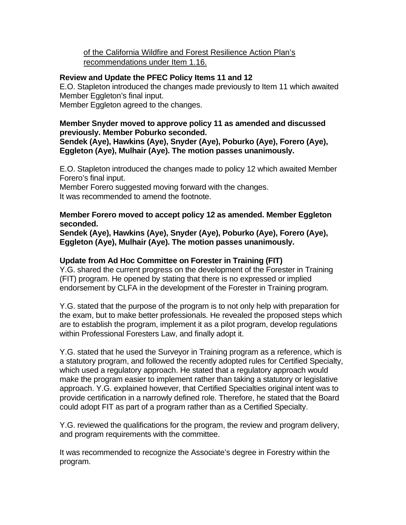# of the California Wildfire and Forest Resilience Action Plan's recommendations under Item 1.16.

# **Review and Update the PFEC Policy Items 11 and 12**

E.O. Stapleton introduced the changes made previously to Item 11 which awaited Member Eggleton's final input.

Member Eggleton agreed to the changes.

## **Member Snyder moved to approve policy 11 as amended and discussed previously. Member Poburko seconded.**

**Sendek (Aye), Hawkins (Aye), Snyder (Aye), Poburko (Aye), Forero (Aye), Eggleton (Aye), Mulhair (Aye). The motion passes unanimously.** 

E.O. Stapleton introduced the changes made to policy 12 which awaited Member Forero's final input.

Member Forero suggested moving forward with the changes. It was recommended to amend the footnote.

## **Member Forero moved to accept policy 12 as amended. Member Eggleton seconded.**

**Sendek (Aye), Hawkins (Aye), Snyder (Aye), Poburko (Aye), Forero (Aye), Eggleton (Aye), Mulhair (Aye). The motion passes unanimously.** 

## **Update from Ad Hoc Committee on Forester in Training (FIT)**

Y.G. shared the current progress on the development of the Forester in Training (FIT) program. He opened by stating that there is no expressed or implied endorsement by CLFA in the development of the Forester in Training program.

Y.G. stated that the purpose of the program is to not only help with preparation for the exam, but to make better professionals. He revealed the proposed steps which are to establish the program, implement it as a pilot program, develop regulations within Professional Foresters Law, and finally adopt it.

Y.G. stated that he used the Surveyor in Training program as a reference, which is a statutory program, and followed the recently adopted rules for Certified Specialty, which used a regulatory approach. He stated that a regulatory approach would make the program easier to implement rather than taking a statutory or legislative approach. Y.G. explained however, that Certified Specialties original intent was to provide certification in a narrowly defined role. Therefore, he stated that the Board could adopt FIT as part of a program rather than as a Certified Specialty.

Y.G. reviewed the qualifications for the program, the review and program delivery, and program requirements with the committee.

It was recommended to recognize the Associate's degree in Forestry within the program.